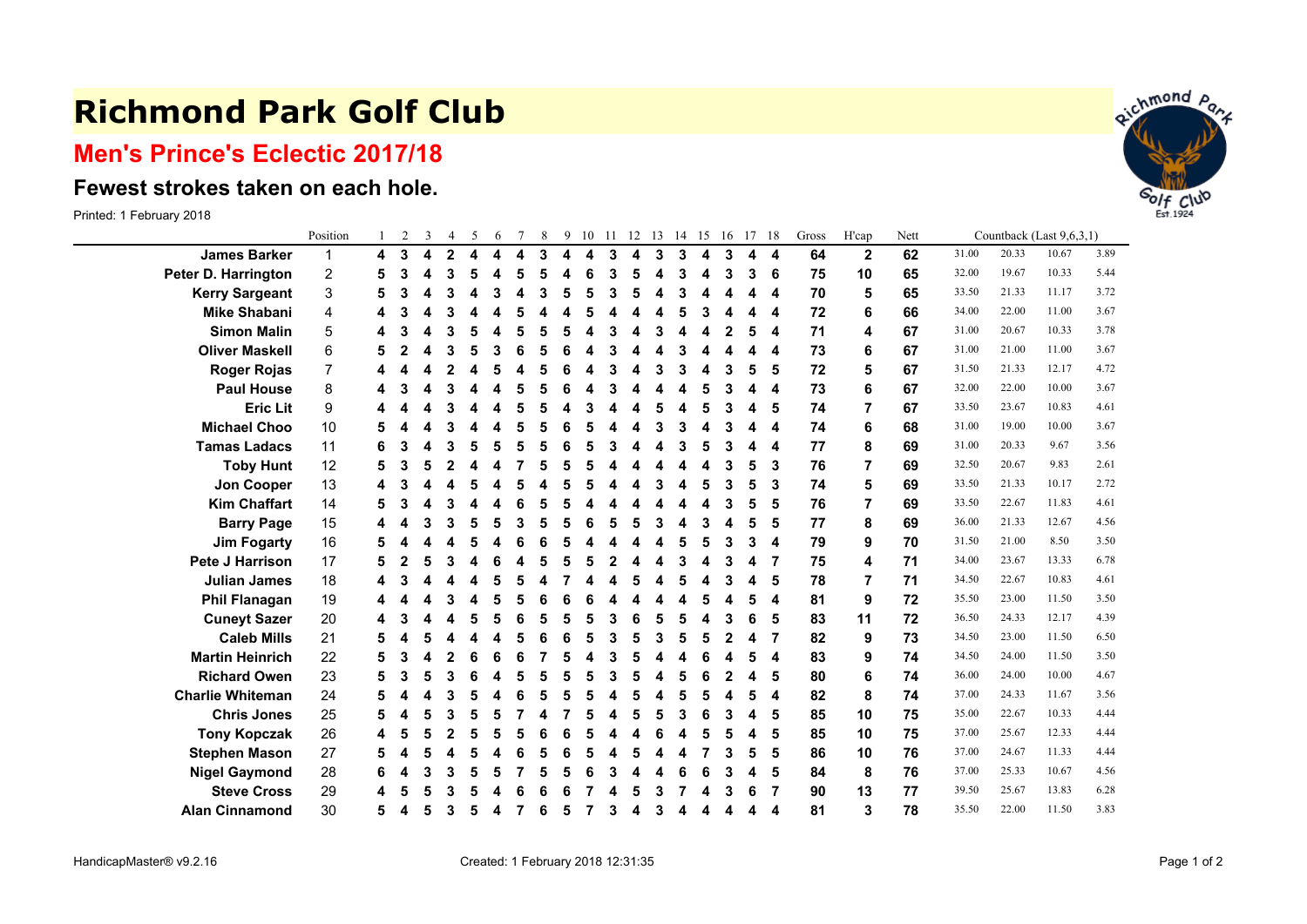## **Richmond Park Golf Club**

## **Men's Prince's Eclectic 2017/18**

## **Fewest strokes taken on each hole.**

Printed: 1 February 2018

|                         | Position                  |   | $\overline{2}$ | 3 | $\overline{4}$ | 5 | 6 |   | 8 | 9 | 10 | 11 | 12 | 13 | 14 | 15 | 16 | 17 | -18                     | Gross | H'cap        | Nett |       |       | Countback (Last 9,6,3,1) |      |  |
|-------------------------|---------------------------|---|----------------|---|----------------|---|---|---|---|---|----|----|----|----|----|----|----|----|-------------------------|-------|--------------|------|-------|-------|--------------------------|------|--|
| <b>James Barker</b>     | 1                         | 4 | 3              | 4 | $\mathbf{2}$   | 4 | 4 | 4 | 3 | 4 | 4  | 3  | 4  | 3  | 3  | 4  | 3  | 4  | $\overline{4}$          | 64    | $\mathbf{2}$ | 62   | 31.00 | 20.33 | 10.67                    | 3.89 |  |
| Peter D. Harrington     | $\overline{c}$            | 5 | 3              |   | 3              | 5 | Δ | 5 | 5 | 4 | 6  | 3  | 5  |    | 3  | 4  | 3  | 3  | 6                       | 75    | 10           | 65   | 32.00 | 19.67 | 10.33                    | 5.44 |  |
| <b>Kerry Sargeant</b>   | $\ensuremath{\mathsf{3}}$ | 5 | 3              |   | 3              | Δ | 3 |   | 3 | 5 | 5  | 3  | 5  | Δ  | 3  |    |    | 4  | 4                       | 70    | 5            | 65   | 33.50 | 21.33 | 11.17                    | 3.72 |  |
| <b>Mike Shabani</b>     | 4                         |   |                |   |                |   |   |   |   |   |    |    |    |    | 5  | З  |    | 4  | 4                       | 72    | 6            | 66   | 34.00 | 22.00 | 11.00                    | 3.67 |  |
| <b>Simon Malin</b>      | $\mathbf 5$               |   |                |   | 3              |   |   |   |   |   |    |    |    |    |    |    |    | 5  | 4                       | 71    | 4            | 67   | 31.00 | 20.67 | 10.33                    | 3.78 |  |
| <b>Oliver Maskell</b>   | 6                         | 5 |                |   | 3              | 5 |   |   |   |   |    |    |    |    | 3  |    |    | 4  | 4                       | 73    | 6            | 67   | 31.00 | 21.00 | 11.00                    | 3.67 |  |
| <b>Roger Rojas</b>      | 7                         | 4 |                |   | 2              |   |   |   |   | 6 |    | 3  | Δ  | 3  | 3  | 4  | 3  | 5  | 5                       | 72    | 5            | 67   | 31.50 | 21.33 | 12.17                    | 4.72 |  |
| <b>Paul House</b>       | 8                         |   |                |   | 3              |   |   |   |   |   |    |    |    |    | Δ  | 5  |    | 4  | 4                       | 73    | 6            | 67   | 32.00 | 22.00 | 10.00                    | 3.67 |  |
| <b>Eric Lit</b>         | 9                         |   |                |   | 3              |   |   |   |   |   | 3  |    |    |    | Δ  | 5  |    | 4  | 5                       | 74    |              | 67   | 33.50 | 23.67 | 10.83                    | 4.61 |  |
| <b>Michael Choo</b>     | 10                        | 5 |                |   | 3              |   |   |   |   |   |    |    |    |    | 3  |    |    | 4  | 4                       | 74    | 6            | 68   | 31.00 | 19.00 | 10.00                    | 3.67 |  |
| <b>Tamas Ladacs</b>     | 11                        | 6 | 3              |   | 3              | 5 | 5 |   |   | 6 |    | 3  |    |    | 3  | 5  |    | 4  | 4                       | 77    | 8            | 69   | 31.00 | 20.33 | 9.67                     | 3.56 |  |
| <b>Toby Hunt</b>        | 12                        | 5 | 3              |   | 2              |   |   |   |   |   |    |    |    |    | Δ  | Δ  | 3  | 5  | 3                       | 76    | 7            | 69   | 32.50 | 20.67 | 9.83                     | 2.61 |  |
| Jon Cooper              | 13                        | 4 |                |   |                |   |   |   |   |   |    |    |    |    |    | 5  |    | 5  | 3                       | 74    | 5            | 69   | 33.50 | 21.33 | 10.17                    | 2.72 |  |
| <b>Kim Chaffart</b>     | 14                        | 5 |                |   | 3              |   |   |   |   |   |    |    |    |    |    |    |    | 5  | 5                       | 76    | 7            | 69   | 33.50 | 22.67 | 11.83                    | 4.61 |  |
| <b>Barry Page</b>       | 15                        | 4 |                |   | 3              |   |   | 3 |   |   |    |    |    |    |    | 3  |    | 5  | 5                       | 77    | 8            | 69   | 36.00 | 21.33 | 12.67                    | 4.56 |  |
| <b>Jim Fogarty</b>      | 16                        | 5 |                |   | Δ              | 5 |   | 6 |   | 5 |    |    | Δ  |    | 5  | 5  | 3  | 3  | 4                       | 79    | 9            | 70   | 31.50 | 21.00 | 8.50                     | 3.50 |  |
| <b>Pete J Harrison</b>  | 17                        | 5 | 2              |   | 3              |   |   |   |   |   |    |    |    |    | 3  |    | 3  | 4  | 7                       | 75    | 4            | 71   | 34.00 | 23.67 | 13.33                    | 6.78 |  |
| <b>Julian James</b>     | 18                        | 4 |                |   |                |   |   |   |   |   |    |    |    |    | 5  |    |    | 4  | 5                       | 78    | 7            | 71   | 34.50 | 22.67 | 10.83                    | 4.61 |  |
| <b>Phil Flanagan</b>    | 19                        |   |                |   |                |   |   |   |   |   |    |    |    |    |    |    |    | 5  | 4                       | 81    | 9            | 72   | 35.50 | 23.00 | 11.50                    | 3.50 |  |
| <b>Cuneyt Sazer</b>     | 20                        | 4 |                |   |                |   |   |   |   |   |    | 3  |    |    | 5  |    |    | 6  | 5                       | 83    | 11           | 72   | 36.50 | 24.33 | 12.17                    | 4.39 |  |
| <b>Caleb Mills</b>      | 21                        | 5 |                |   | Δ              |   |   |   | 6 | 6 | 5  | 3  | 5  | 3  | 5  | 5  | 2  | 4  | -7                      | 82    | 9            | 73   | 34.50 | 23.00 | 11.50                    | 6.50 |  |
| <b>Martin Heinrich</b>  | 22                        | 5 | 3              |   | 2              |   |   | 6 |   | 5 |    | 3  |    |    | Δ  |    |    | 5  | 4                       | 83    | 9            | 74   | 34.50 | 24.00 | 11.50                    | 3.50 |  |
| <b>Richard Owen</b>     | 23                        | 5 |                |   | 3              | 6 |   |   |   |   |    |    | 5  |    | 5  | 6  |    | 4  | 5                       | 80    | 6            | 74   | 36.00 | 24.00 | 10.00                    | 4.67 |  |
| <b>Charlie Whiteman</b> | 24                        | 5 |                |   | 3              |   |   |   |   |   |    |    |    |    | 5  | 5  |    | 5  | $\overline{\mathbf{4}}$ | 82    | 8            | 74   | 37.00 | 24.33 | 11.67                    | 3.56 |  |
| <b>Chris Jones</b>      | 25                        | 5 |                |   | 3              | 5 | 5 |   |   |   |    |    | 5  | 5  | 3  | 6  |    | 4  | 5                       | 85    | 10           | 75   | 35.00 | 22.67 | 10.33                    | 4.44 |  |
| <b>Tony Kopczak</b>     | 26                        | 4 | 5              |   | 2              | 5 | 5 |   |   | 6 |    |    |    |    | 4  | 5  |    | 4  | 5                       | 85    | 10           | 75   | 37.00 | 25.67 | 12.33                    | 4.44 |  |
| <b>Stephen Mason</b>    | 27                        | 5 |                |   | 4              |   |   |   |   |   |    |    |    |    | 4  |    |    | 5  | 5                       | 86    | 10           | 76   | 37.00 | 24.67 | 11.33                    | 4.44 |  |
| <b>Nigel Gaymond</b>    | 28                        | 6 |                |   | 3              | 5 | 5 |   |   | 5 | 6  |    |    |    | 6  | 6  |    | 4  | 5                       | 84    | 8            | 76   | 37.00 | 25.33 | 10.67                    | 4.56 |  |
| <b>Steve Cross</b>      | 29                        | 4 |                |   | 3              |   |   |   |   |   |    |    |    |    |    |    |    | 6  | 7                       | 90    | 13           | 77   | 39.50 | 25.67 | 13.83                    | 6.28 |  |
| <b>Alan Cinnamond</b>   | 30                        | 5 | 4              | 5 | 3              | 5 | 4 |   | 6 | 5 |    | 3  | 4  |    | 4  |    |    | 4  | 4                       | 81    | 3            | 78   | 35.50 | 22.00 | 11.50                    | 3.83 |  |